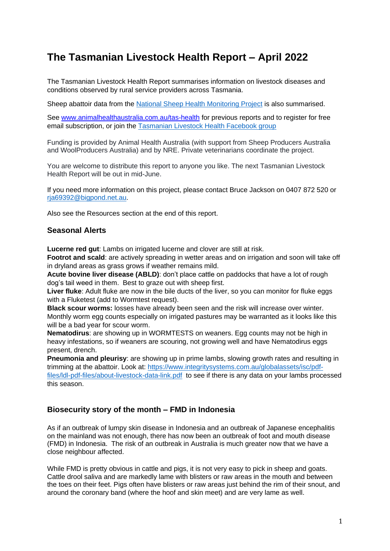# **The Tasmanian Livestock Health Report – April 2022**

The Tasmanian Livestock Health Report summarises information on livestock diseases and conditions observed by rural service providers across Tasmania.

Sheep abattoir data from the [National Sheep Health Monitoring Project](https://animalhealthaustralia.com.au/national-sheep-health-monitoring-project/) is also summarised.

See [www.animalhealthaustralia.com.au/tas-health](http://www.animalhealthaustralia.com.au/tas-health) for previous reports and to register for free email subscription, or join the [Tasmanian Livestock Health Facebook group](https://www.facebook.com/groups/771491260491135)

Funding is provided by Animal Health Australia (with support from Sheep Producers Australia and WoolProducers Australia) and by NRE. Private veterinarians coordinate the project.

You are welcome to distribute this report to anyone you like. The next Tasmanian Livestock Health Report will be out in mid-June.

If you need more information on this project, please contact Bruce Jackson on 0407 872 520 or [rja69392@bigpond.net.au.](mailto:rja69392@bigpond.net.au)

Also see the Resources section at the end of this report.

# **Seasonal Alerts**

**Lucerne red gut**: Lambs on irrigated lucerne and clover are still at risk.

**Footrot and scald**: are actively spreading in wetter areas and on irrigation and soon will take off in dryland areas as grass grows if weather remains mild.

**Acute bovine liver disease (ABLD)**: don't place cattle on paddocks that have a lot of rough dog's tail weed in them. Best to graze out with sheep first.

**Liver fluke**: Adult fluke are now in the bile ducts of the liver, so you can monitor for fluke eggs with a Fluketest (add to Wormtest request).

**Black scour worms:** losses have already been seen and the risk will increase over winter. Monthly worm egg counts especially on irrigated pastures may be warranted as it looks like this will be a bad year for scour worm.

**Nematodirus**: are showing up in WORMTESTS on weaners. Egg counts may not be high in heavy infestations, so if weaners are scouring, not growing well and have Nematodirus eggs present, drench.

**Pneumonia and pleurisy**: are showing up in prime lambs, slowing growth rates and resulting in trimming at the abattoir. Look at: [https://www.integritysystems.com.au/globalassets/isc/pdf](https://www.integritysystems.com.au/globalassets/isc/pdf-files/ldl-pdf-files/about-livestock-data-link.pdf)[files/ldl-pdf-files/about-livestock-data-link.pdf](https://www.integritysystems.com.au/globalassets/isc/pdf-files/ldl-pdf-files/about-livestock-data-link.pdf) to see if there is any data on your lambs processed this season.

# **Biosecurity story of the month – FMD in Indonesia**

As if an outbreak of lumpy skin disease in Indonesia and an outbreak of Japanese encephalitis on the mainland was not enough, there has now been an outbreak of foot and mouth disease (FMD) in Indonesia. The risk of an outbreak in Australia is much greater now that we have a close neighbour affected.

While FMD is pretty obvious in cattle and pigs, it is not very easy to pick in sheep and goats. Cattle drool saliva and are markedly lame with blisters or raw areas in the mouth and between the toes on their feet. Pigs often have blisters or raw areas just behind the rim of their snout, and around the coronary band (where the hoof and skin meet) and are very lame as well.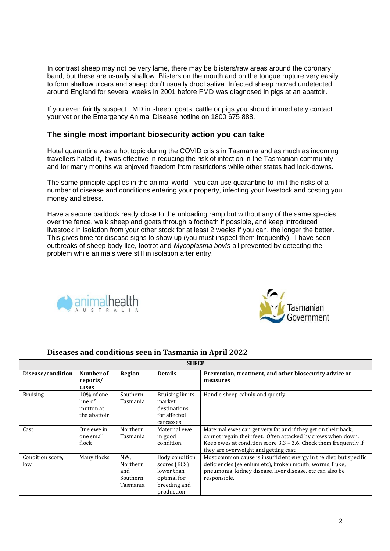In contrast sheep may not be very lame, there may be blisters/raw areas around the coronary band, but these are usually shallow. Blisters on the mouth and on the tongue rupture very easily to form shallow ulcers and sheep don't usually drool saliva. Infected sheep moved undetected around England for several weeks in 2001 before FMD was diagnosed in pigs at an abattoir.

If you even faintly suspect FMD in sheep, goats, cattle or pigs you should immediately contact your vet or the Emergency Animal Disease hotline on 1800 675 888.

# **The single most important biosecurity action you can take**

Hotel quarantine was a hot topic during the COVID crisis in Tasmania and as much as incoming travellers hated it, it was effective in reducing the risk of infection in the Tasmanian community, and for many months we enjoyed freedom from restrictions while other states had lock-downs.

The same principle applies in the animal world - you can use quarantine to limit the risks of a number of disease and conditions entering your property, infecting your livestock and costing you money and stress.

Have a secure paddock ready close to the unloading ramp but without any of the same species over the fence, walk sheep and goats through a footbath if possible, and keep introduced livestock in isolation from your other stock for at least 2 weeks if you can, the longer the better. This gives time for disease signs to show up (you must inspect them frequently). I have seen outbreaks of sheep body lice, footrot and *Mycoplasma bovis* all prevented by detecting the problem while animals were still in isolation after entry.





| <b>SHEEP</b>            |                                                    |                                                |                                                                                           |                                                                                                                                                                                                                                                 |  |  |
|-------------------------|----------------------------------------------------|------------------------------------------------|-------------------------------------------------------------------------------------------|-------------------------------------------------------------------------------------------------------------------------------------------------------------------------------------------------------------------------------------------------|--|--|
| Disease/condition       | Number of<br>reports/<br>cases                     | <b>Region</b>                                  | <b>Details</b>                                                                            | Prevention, treatment, and other biosecurity advice or<br>measures                                                                                                                                                                              |  |  |
| <b>Bruising</b>         | 10% of one<br>line of<br>mutton at<br>the abattoir | Southern<br>Tasmania                           | <b>Bruising limits</b><br>market<br>destinations<br>for affected<br>carcasses             | Handle sheep calmly and quietly.                                                                                                                                                                                                                |  |  |
| Cast                    | One ewe in<br>one small<br>flock                   | <b>Northern</b><br>Tasmania                    | Maternal ewe<br>in good<br>condition.                                                     | Maternal ewes can get very fat and if they get on their back,<br>cannot regain their feet. Often attacked by crows when down.<br>Keep ewes at condition score $3.3$ – $3.6$ . Check them frequently if<br>they are overweight and getting cast. |  |  |
| Condition score,<br>low | Many flocks                                        | NW.<br>Northern<br>and<br>Southern<br>Tasmania | Body condition<br>scores (BCS)<br>lower than<br>optimal for<br>breeding and<br>production | Most common cause is insufficient energy in the diet, but specific<br>deficiencies (selenium etc), broken mouth, worms, fluke,<br>pneumonia, kidney disease, liver disease, etc can also be<br>responsible.                                     |  |  |

# **Diseases and conditions seen in Tasmania in April 2022**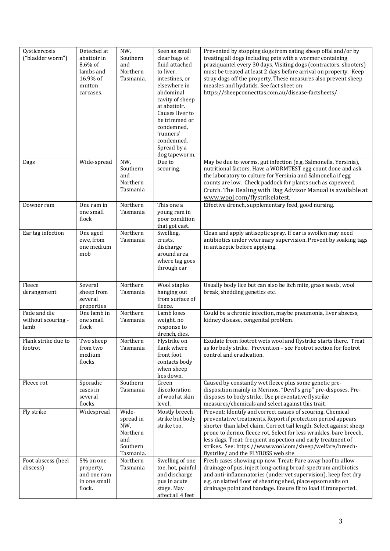| Cysticercosis<br>("bladder worm")          | Detected at<br>abattoir in<br>$8.6\%$ of<br>lambs and<br>16.9% of<br>mutton<br>carcases. | NW,<br>Southern<br>and<br>Northern<br>Tasmania.                       | Seen as small<br>clear bags of<br>fluid attached<br>to liver,<br>intestines, or<br>elsewhere in<br>abdominal<br>cavity of sheep<br>at abattoir.<br>Causes liver to<br>be trimmed or<br>condemned,<br>'runners'<br>condemned.<br>Spread by a<br>dog tapeworm. | Prevented by stopping dogs from eating sheep offal and/or by<br>treating all dogs including pets with a wormer containing<br>praziquantel every 30 days. Visiting dogs (contractors, shooters)<br>must be treated at least 2 days before arrival on property. Keep<br>stray dogs off the property. These measures also prevent sheep<br>measles and hydatids. See fact sheet on:<br>https://sheepconnecttas.com.au/disease-factsheets/     |
|--------------------------------------------|------------------------------------------------------------------------------------------|-----------------------------------------------------------------------|--------------------------------------------------------------------------------------------------------------------------------------------------------------------------------------------------------------------------------------------------------------|--------------------------------------------------------------------------------------------------------------------------------------------------------------------------------------------------------------------------------------------------------------------------------------------------------------------------------------------------------------------------------------------------------------------------------------------|
| Dags                                       | Wide-spread                                                                              | NW,<br>Southern<br>and<br>Northern<br>Tasmania                        | Due to<br>scouring.                                                                                                                                                                                                                                          | May be due to worms, gut infection (e.g. Salmonella, Yersinia),<br>nutritional factors. Have a WORMTEST egg count done and ask<br>the laboratory to culture for Yersinia and Salmonella if egg<br>counts are low. Check paddock for plants such as capeweed.<br>Crutch. The Dealing with Dag Advisor Manual is available at<br>www.wool.com/flystrikelatest.                                                                               |
| Downer ram                                 | One ram in<br>one small<br>flock                                                         | Northern<br>Tasmania                                                  | This one a<br>young ram in<br>poor condition<br>that got cast.                                                                                                                                                                                               | Effective drench, supplementary feed, good nursing.                                                                                                                                                                                                                                                                                                                                                                                        |
| Ear tag infection                          | One aged<br>ewe, from<br>one medium<br>mob                                               | Northern<br>Tasmania                                                  | Swelling,<br>crusts,<br>discharge<br>around area<br>where tag goes<br>through ear                                                                                                                                                                            | Clean and apply antiseptic spray. If ear is swollen may need<br>antibiotics under veterinary supervision. Prevent by soaking tags<br>in antiseptic before applying.                                                                                                                                                                                                                                                                        |
| Fleece<br>derangement                      | Several<br>sheep from<br>several<br>properties                                           | Northern<br>Tasmania                                                  | Wool staples<br>hanging out<br>from surface of<br>fleece.                                                                                                                                                                                                    | Usually body lice but can also be itch mite, grass seeds, wool<br>break, shedding genetics etc.                                                                                                                                                                                                                                                                                                                                            |
| Fade and die<br>without scouring -<br>lamb | One lamb in<br>one small<br>flock                                                        | Northern<br>Tasmania                                                  | Lamb loses<br>weight, no<br>response to<br>drench, dies.                                                                                                                                                                                                     | Could be a chronic infection, maybe pneumonia, liver abscess,<br>kidney disease, congenital problem.                                                                                                                                                                                                                                                                                                                                       |
| Flank strike due to<br>footrot             | Two sheep<br>from two<br>medium<br>flocks                                                | Northern<br>Tasmania                                                  | Flystrike on<br>flank where<br>front foot<br>contacts body<br>when sheep<br>lies down.                                                                                                                                                                       | Exudate from footrot wets wool and flystrike starts there. Treat<br>as for body strike. Prevention - see Footrot section for footrot<br>control and eradication.                                                                                                                                                                                                                                                                           |
| Fleece rot                                 | Sporadic<br>cases in<br>several<br>flocks                                                | Southern<br>Tasmania                                                  | Green<br>discoloration<br>of wool at skin<br>level.                                                                                                                                                                                                          | Caused by constantly wet fleece plus some genetic pre-<br>disposition mainly in Merinos. "Devil's grip" pre-disposes. Pre-<br>disposes to body strike. Use preventative flystrike<br>measures/chemicals and select against this trait.                                                                                                                                                                                                     |
| Fly strike                                 | Widespread                                                                               | Wide-<br>spread in<br>NW,<br>Northern<br>and<br>Southern<br>Tasmania. | Mostly breech<br>strike but body<br>strike too.                                                                                                                                                                                                              | Prevent: Identify and correct causes of scouring. Chemical<br>preventative treatments. Report if protection period appears<br>shorter than label claim. Correct tail length. Select against sheep<br>prone to dermo, fleece rot. Select for less wrinkles, bare breech,<br>less dags. Treat: frequent inspection and early treatment of<br>strikes. See: https://www.wool.com/sheep/welfare/breech-<br>flystrike/ and the FLYBOSS web site |
| Foot abscess (heel<br>abscess)             | 5% on one<br>property,<br>and one ram<br>in one small<br>flock.                          | Northern<br>Tasmania                                                  | Swelling of one<br>toe, hot, painful<br>and discharge<br>pus in acute<br>stage. May<br>affect all 4 feet                                                                                                                                                     | Fresh cases showing up now. Treat: Pare away hoof to allow<br>drainage of pus, inject long-acting broad-spectrum antibiotics<br>and anti-inflammatories (under vet supervision), keep feet dry<br>e.g. on slatted floor of shearing shed, place epsom salts on<br>drainage point and bandage. Ensure fit to load if transported.                                                                                                           |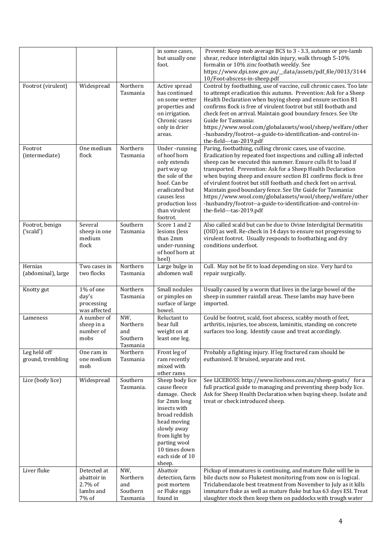|                                   |                                                                |                                                | in some cases,<br>but usually one<br>foot.                                                                                                                                                                     | Prevent: Keep mob average BCS to 3 - 3.3, autumn or pre-lamb<br>shear, reduce interdigital skin injury, walk through 5-10%<br>formalin or 10% zinc footbath weekly. See<br>https://www.dpi.nsw.gov.au/_data/assets/pdf_file/0013/3144<br>10/Foot-abscess-in-sheep.pdf                                                                                                                                                                                                                                                                                                                                                            |
|-----------------------------------|----------------------------------------------------------------|------------------------------------------------|----------------------------------------------------------------------------------------------------------------------------------------------------------------------------------------------------------------|----------------------------------------------------------------------------------------------------------------------------------------------------------------------------------------------------------------------------------------------------------------------------------------------------------------------------------------------------------------------------------------------------------------------------------------------------------------------------------------------------------------------------------------------------------------------------------------------------------------------------------|
| Footrot (virulent)                | Widespread                                                     | Northern<br>Tasmania                           | Active spread<br>has continued<br>on some wetter<br>properties and<br>on irrigation.<br>Chronic cases<br>only in drier<br>areas.                                                                               | Control by footbathing, use of vaccine, cull chronic cases. Too late<br>to attempt eradication this autumn. Prevention: Ask for a Sheep<br>Health Declaration when buying sheep and ensure section B1<br>confirms flock is free of virulent footrot but still footbath and<br>check feet on arrival. Maintain good boundary fences. See Ute<br>Guide for Tasmania:<br>https://www.wool.com/globalassets/wool/sheep/welfare/other<br>-husbandry/footrot--a-guide-to-identification-and-control-in-<br>the-field---tas-2019.pdf                                                                                                    |
| Footrot<br>(intermediate)         | One medium<br>flock                                            | Northern<br>Tasmania                           | Under-running<br>of hoof horn<br>only extends<br>part way up<br>the sole of the<br>hoof. Can be<br>eradicated but<br>causes less<br>production loss<br>than virulent<br>footrot.                               | Paring, footbathing, culling chronic cases, use of vaccine.<br>Eradication by repeated foot inspections and culling all infected<br>sheep can be executed this summer. Ensure culls fit to load if<br>transported. Prevention: Ask for a Sheep Health Declaration<br>when buying sheep and ensure section B1 confirms flock is free<br>of virulent footrot but still footbath and check feet on arrival.<br>Maintain good boundary fence. See Ute Guide for Tasmania:<br>https://www.wool.com/globalassets/wool/sheep/welfare/other<br>-husbandry/footrot--a-guide-to-identification-and-control-in-<br>the-field---tas-2019.pdf |
| Footrot, benign<br>('scald')      | Several<br>sheep in one<br>medium<br>flock                     | Southern<br>Tasmania                           | Score 1 and 2<br>lesions (less<br>than 2mm<br>under-running<br>of hoof horn at<br>heel)                                                                                                                        | Also called scald but can be due to Ovine Interdigital Dermatitis<br>(OID) as well. Re-check in 14 days to ensure not progressing to<br>virulent footrot. Usually responds to footbathing and dry<br>conditions underfoot.                                                                                                                                                                                                                                                                                                                                                                                                       |
| Hernias<br>(abdominal), large     | Two cases in<br>two flocks                                     | Northern<br>Tasmania                           | Large bulge in<br>abdomen wall                                                                                                                                                                                 | Cull. May not be fit to load depending on size. Very hard to<br>repair surgically.                                                                                                                                                                                                                                                                                                                                                                                                                                                                                                                                               |
| Knotty gut                        | 1% of one<br>day's<br>processing<br>was affected               | Northern<br>Tasmania                           | Small nodules<br>or pimples on<br>surface of large<br>bowel.                                                                                                                                                   | Usually caused by a worm that lives in the large bowel of the<br>sheep in summer rainfall areas. These lambs may have been<br>imported.                                                                                                                                                                                                                                                                                                                                                                                                                                                                                          |
| Lameness                          | A number of<br>sheep in a<br>number of<br>mobs                 | NW,<br>Northern<br>and<br>Southern<br>Tasmania | Reluctant to<br>bear full<br>weight on at<br>least one leg.                                                                                                                                                    | Could be footrot, scald, foot abscess, scabby mouth of feet,<br>arthritis, injuries, toe abscess, laminitis, standing on concrete<br>surfaces too long. Identify cause and treat accordingly.                                                                                                                                                                                                                                                                                                                                                                                                                                    |
| Leg held off<br>ground, trembling | One ram in<br>one medium<br>mob                                | Northern<br>Tasmania                           | Front leg of<br>ram recently<br>mixed with<br>other rams                                                                                                                                                       | Probably a fighting injury. If leg fractured ram should be<br>euthanised. If bruised, separate and rest.                                                                                                                                                                                                                                                                                                                                                                                                                                                                                                                         |
| Lice (body lice)                  | Widespread                                                     | Southern<br>Tasmania.                          | Sheep body lice<br>cause fleece<br>damage. Check<br>for 2mm long<br>insects with<br>broad reddish<br>head moving<br>slowly away<br>from light by<br>parting wool<br>10 times down<br>each side of 10<br>sheep. | See LICEBOSS: http://www.liceboss.com.au/sheep-goats/ for a<br>full practical guide to managing and preventing sheep body lice.<br>Ask for Sheep Health Declaration when buying sheep. Isolate and<br>treat or check introduced sheep.                                                                                                                                                                                                                                                                                                                                                                                           |
| Liver fluke                       | Detected at<br>abattoir in<br>$2.7\%$ of<br>lambs and<br>7% of | NW,<br>Northern<br>and<br>Southern<br>Tasmania | Abattoir<br>detection, farm<br>post mortem<br>or Fluke eggs<br>found in                                                                                                                                        | Pickup of immatures is continuing, and mature fluke will be in<br>bile ducts now so Fluketest monitoring from now on is logical.<br>Triclabendazole best treatment from November to July as it kills<br>immature fluke as well as mature fluke but has 63 days ESI. Treat<br>slaughter stock then keep them on paddocks with trough water                                                                                                                                                                                                                                                                                        |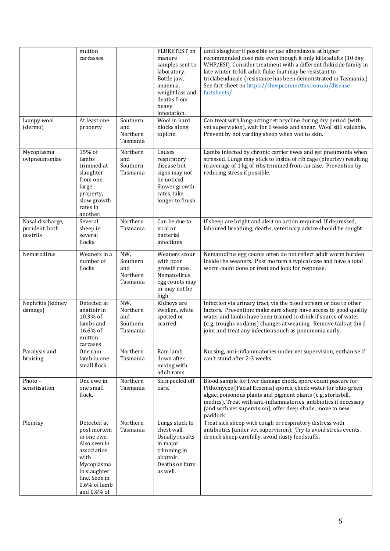| Lumpy wool<br>(dermo)                          | mutton<br>carcasses.<br>At least one<br>property                                                                                                               | Southern<br>and<br>Northern<br>Tasmania        | FLUKETEST on<br>manure<br>samples sent to<br>laboratory.<br>Bottle jaw,<br>anaemia,<br>weight loss and<br>deaths from<br>heavy<br>infestation.<br>Wool in hard<br>blocks along<br>topline. | until slaughter if possible or use albendazole at higher<br>recommended dose rate even though it only kills adults (10 day<br>WHP/ESI). Consider treatment with a different flukicide family in<br>late winter to kill adult fluke that may be resistant to<br>triclabendazole (resistance has been demonstrated in Tasmania.)<br>See fact sheet on https://sheepconnecttas.com.au/disease-<br>factsheets/<br>Can treat with long-acting tetracycline during dry period (with<br>vet supervision), wait for 6 weeks and shear. Wool still valuable.<br>Prevent by not yarding sheep when wet to skin. |
|------------------------------------------------|----------------------------------------------------------------------------------------------------------------------------------------------------------------|------------------------------------------------|--------------------------------------------------------------------------------------------------------------------------------------------------------------------------------------------|-------------------------------------------------------------------------------------------------------------------------------------------------------------------------------------------------------------------------------------------------------------------------------------------------------------------------------------------------------------------------------------------------------------------------------------------------------------------------------------------------------------------------------------------------------------------------------------------------------|
| Mycoplasma<br>ovipneumoniae                    | 15% of<br>lambs<br>trimmed at<br>slaughter<br>from one<br>large<br>property,<br>slow growth<br>rates in<br>another.                                            | Northern<br>and<br>Southern<br>Tasmania        | Causes<br>respiratory<br>disease but<br>signs may not<br>be noticed.<br>Slower growth<br>rates, take<br>longer to finish.                                                                  | Lambs infected by chronic carrier ewes and get pneumonia when<br>stressed. Lungs may stick to inside of rib cage (pleurisy) resulting<br>in average of 1 kg of ribs trimmed from carcase. Prevention by<br>reducing stress if possible.                                                                                                                                                                                                                                                                                                                                                               |
| Nasal discharge,<br>purulent, both<br>nostrils | Several<br>sheep in<br>several<br>flocks                                                                                                                       | Northern<br>Tasmania                           | Can be due to<br>viral or<br>bacterial<br>infections                                                                                                                                       | If sheep are bright and alert no action required. If depressed,<br>laboured breathing, deaths, veterinary advice should be sought.                                                                                                                                                                                                                                                                                                                                                                                                                                                                    |
| Nematodirus                                    | Weaners in a<br>number of<br>flocks                                                                                                                            | NW,<br>Southern<br>and<br>Northern<br>Tasmania | Weaners scour<br>with poor<br>growth rates.<br>Nematodirus<br>egg counts may<br>or may not be<br>high.                                                                                     | Nematodirus egg counts often do not reflect adult worm burden<br>inside the weaners. Post mortem a typical case and have a total<br>worm count done or treat and look for response.                                                                                                                                                                                                                                                                                                                                                                                                                   |
| Nephritis (kidney<br>damage)                   | Detected at<br>abattoir in<br>10.3% of<br>lambs and<br>16.6% of<br>mutton<br>carcases                                                                          | NW,<br>Northern<br>and<br>Southern<br>Tasmania | Kidneys are<br>swollen, white<br>spotted or<br>scarred.                                                                                                                                    | Infection via urinary tract, via the blood stream or due to other<br>factors. Prevention: make sure sheep have access to good quality<br>water and lambs have been trained to drink if source of water<br>(e.g. troughs vs dams) changes at weaning. Remove tails at third<br>joint and treat any infections such as pneumonia early.                                                                                                                                                                                                                                                                 |
| Paralysis and<br>bruising                      | One ram<br>lamb in one<br>small flock                                                                                                                          | Northern<br>Tasmania                           | Ram lamb<br>down after<br>mixing with<br>adult rams                                                                                                                                        | Nursing, anti-inflammatories under vet supervision, euthanise if<br>can't stand after 2-3 weeks.                                                                                                                                                                                                                                                                                                                                                                                                                                                                                                      |
| Photo-<br>sensitisation                        | One ewe in<br>one small<br>flock.                                                                                                                              | Northern<br>Tasmania                           | Skin peeled off<br>ears.                                                                                                                                                                   | Blood sample for liver damage check, spore count pasture for<br>Pithomyces (Facial Eczema) spores, check water for blue-green<br>algae, poisonous plants and pigment plants (e.g. storksbill,<br>medics). Treat with anti-inflammatories, antibiotics if necessary<br>(and with vet supervision), offer deep shade, move to new<br>paddock.                                                                                                                                                                                                                                                           |
| Pleurisy                                       | Detected at<br>post mortem<br>in one ewe.<br>Also seen in<br>association<br>with<br>Mycoplasma<br>in slaughter<br>line. Seen in<br>0.6% of lamb<br>and 0.4% of | Northern<br>Tasmania                           | Lungs stuck to<br>chest wall.<br>Usually results<br>in major<br>trimming in<br>abattoir.<br>Deaths on farm<br>as well.                                                                     | Treat sick sheep with cough or respiratory distress with<br>antibiotics (under vet supervision). Try to avoid stress events,<br>drench sheep carefully, avoid dusty feedstuffs.                                                                                                                                                                                                                                                                                                                                                                                                                       |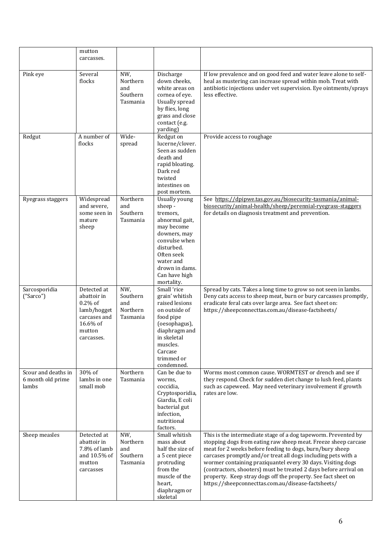|                                                   | mutton<br>carcasses.                                                                                        |                                                |                                                                                                                                                                                                        |                                                                                                                                                                                                                                                                                                                                                                                                                                                                                                                         |
|---------------------------------------------------|-------------------------------------------------------------------------------------------------------------|------------------------------------------------|--------------------------------------------------------------------------------------------------------------------------------------------------------------------------------------------------------|-------------------------------------------------------------------------------------------------------------------------------------------------------------------------------------------------------------------------------------------------------------------------------------------------------------------------------------------------------------------------------------------------------------------------------------------------------------------------------------------------------------------------|
| Pink eye                                          | Several<br>flocks                                                                                           | NW,<br>Northern<br>and<br>Southern<br>Tasmania | Discharge<br>down cheeks,<br>white areas on<br>cornea of eye.<br><b>Usually spread</b><br>by flies, long<br>grass and close<br>contact (e.g.<br>yarding)                                               | If low prevalence and on good feed and water leave alone to self-<br>heal as mustering can increase spread within mob. Treat with<br>antibiotic injections under vet supervision. Eye ointments/sprays<br>less effective.                                                                                                                                                                                                                                                                                               |
| Redgut                                            | A number of<br>flocks                                                                                       | Wide-<br>spread                                | Redgut on<br>lucerne/clover.<br>Seen as sudden<br>death and<br>rapid bloating.<br>Dark red<br>twisted<br>intestines on<br>post mortem.                                                                 | Provide access to roughage                                                                                                                                                                                                                                                                                                                                                                                                                                                                                              |
| Ryegrass staggers                                 | Widespread<br>and severe,<br>some seen in<br>mature<br>sheep                                                | Northern<br>and<br>Southern<br>Tasmania        | <b>Usually young</b><br>sheep -<br>tremors,<br>abnormal gait,<br>may become<br>downers, may<br>convulse when<br>disturbed.<br>Often seek<br>water and<br>drown in dams.<br>Can have high<br>mortality. | See https://dpipwe.tas.gov.au/biosecurity-tasmania/animal-<br>biosecurity/animal-health/sheep/perennial-ryegrass-staggers<br>for details on diagnosis treatment and prevention.                                                                                                                                                                                                                                                                                                                                         |
| Sarcosporidia<br>("Sarco")                        | Detected at<br>abattoir in<br>$0.2\%$ of<br>lamb/hogget<br>carcases and<br>16.6% of<br>mutton<br>carcasses. | NW,<br>Southern<br>and<br>Northern<br>Tasmania | Small 'rice<br>grain' whitish<br>raised lesions<br>on outside of<br>food pipe<br>(oesophagus),<br>diaphragm and<br>in skeletal<br>muscles.<br>Carcase<br>trimmed or<br>condemned.                      | Spread by cats. Takes a long time to grow so not seen in lambs.<br>Deny cats access to sheep meat, burn or bury carcasses promptly,<br>eradicate feral cats over large area. See fact sheet on:<br>https://sheepconnecttas.com.au/disease-factsheets/                                                                                                                                                                                                                                                                   |
| Scour and deaths in<br>6 month old prime<br>lambs | 30% of<br>lambs in one<br>small mob                                                                         | Northern<br>Tasmania                           | Can be due to<br>worms,<br>coccidia,<br>Cryptosporidia,<br>Giardia, E coli<br>bacterial gut<br>infection,<br>nutritional<br>factors.                                                                   | Worms most common cause. WORMTEST or drench and see if<br>they respond. Check for sudden diet change to lush feed, plants<br>such as capeweed. May need veterinary involvement if growth<br>rates are low.                                                                                                                                                                                                                                                                                                              |
| Sheep measles                                     | Detected at<br>abattoir in<br>7.8% of lamb<br>and 10.5% of<br>mutton<br>carcasses                           | NW,<br>Northern<br>and<br>Southern<br>Tasmania | Small whitish<br>mass about<br>half the size of<br>a 5 cent piece<br>protruding<br>from the<br>muscle of the<br>heart,<br>diaphragm or<br>skeletal                                                     | This is the intermediate stage of a dog tapeworm. Prevented by<br>stopping dogs from eating raw sheep meat. Freeze sheep carcase<br>meat for 2 weeks before feeding to dogs, burn/bury sheep<br>carcases promptly and/or treat all dogs including pets with a<br>wormer containing praziquantel every 30 days. Visiting dogs<br>(contractors, shooters) must be treated 2 days before arrival on<br>property. Keep stray dogs off the property. See fact sheet on<br>https://sheepconnecttas.com.au/disease-factsheets/ |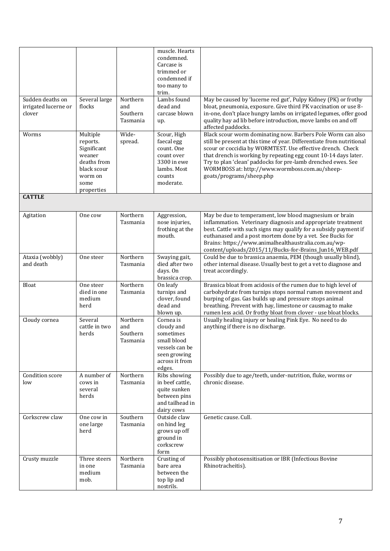|                                                    |                                                                                                              |                                         | muscle. Hearts<br>condemned.<br>Carcase is<br>trimmed or<br>condemned if<br>too many to<br>trim.                  |                                                                                                                                                                                                                                                                                                                                                                                                                     |
|----------------------------------------------------|--------------------------------------------------------------------------------------------------------------|-----------------------------------------|-------------------------------------------------------------------------------------------------------------------|---------------------------------------------------------------------------------------------------------------------------------------------------------------------------------------------------------------------------------------------------------------------------------------------------------------------------------------------------------------------------------------------------------------------|
| Sudden deaths on<br>irrigated lucerne or<br>clover | Several large<br>flocks                                                                                      | Northern<br>and<br>Southern<br>Tasmania | Lambs found<br>dead and<br>carcase blown<br>up.                                                                   | May be caused by 'lucerne red gut', Pulpy Kidney (PK) or frothy<br>bloat, pneumonia, exposure. Give third PK vaccination or use 8-<br>in-one, don't place hungry lambs on irrigated legumes, offer good<br>quality hay ad lib before introduction, move lambs on and off<br>affected paddocks.                                                                                                                      |
| Worms                                              | Multiple<br>reports.<br>Significant<br>weaner<br>deaths from<br>black scour<br>worm on<br>some<br>properties | Wide-<br>spread.                        | Scour, High<br>faecal egg<br>count. One<br>count over<br>3300 in ewe<br>lambs. Most<br>counts<br>moderate.        | Black scour worm dominating now. Barbers Pole Worm can also<br>still be present at this time of year. Differentiate from nutritional<br>scour or coccidia by WORMTEST. Use effective drench. Check<br>that drench is working by repeating egg count 10-14 days later.<br>Try to plan 'clean' paddocks for pre-lamb drenched ewes. See<br>WORMBOSS at: http://www.wormboss.com.au/sheep-<br>goats/programs/sheep.php |
| <b>CATTLE</b>                                      |                                                                                                              |                                         |                                                                                                                   |                                                                                                                                                                                                                                                                                                                                                                                                                     |
| Agitation                                          | One cow                                                                                                      | Northern<br>Tasmania                    | Aggression,<br>nose injuries,<br>frothing at the<br>mouth.                                                        | May be due to temperament, low blood magnesium or brain<br>inflammation. Veterinary diagnosis and appropriate treatment<br>best. Cattle with such signs may qualify for a subsidy payment if<br>euthanased and a post mortem done by a vet. See Bucks for<br>Brains: https://www.animalhealthaustralia.com.au/wp-<br>content/uploads/2015/11/Bucks-for-Brains_Jun16_WEB.pdf                                         |
| Ataxia (wobbly)<br>and death                       | One steer                                                                                                    | Northern<br>Tasmania                    | Swaying gait,<br>died after two<br>days. On<br>brassica crop.                                                     | Could be due to brassica anaemia, PEM (though usually blind),<br>other internal disease. Usually best to get a vet to diagnose and<br>treat accordingly.                                                                                                                                                                                                                                                            |
| Bloat                                              | One steer<br>died in one<br>medium<br>herd                                                                   | Northern<br>Tasmania                    | On leafy<br>turnips and<br>clover, found<br>dead and<br>blown up.                                                 | Brassica bloat from acidosis of the rumen due to high level of<br>carbohydrate from turnips stops normal rumen movement and<br>burping of gas. Gas builds up and pressure stops animal<br>breathing. Prevent with hay, limestone or causmag to make<br>rumen less acid. Or frothy bloat from clover - use bloat blocks.                                                                                             |
| Cloudy cornea                                      | Several<br>cattle in two<br>herds                                                                            | Northern<br>and<br>Southern<br>Tasmania | Cornea is<br>cloudy and<br>sometimes<br>small blood<br>vessels can be<br>seen growing<br>across it from<br>edges. | Usually healing injury or healing Pink Eye. No need to do<br>anything if there is no discharge.                                                                                                                                                                                                                                                                                                                     |
| Condition score<br>low                             | A number of<br>cows in<br>several<br>herds                                                                   | Northern<br>Tasmania                    | Ribs showing<br>in beef cattle,<br>quite sunken<br>between pins<br>and tailhead in<br>dairy cows                  | Possibly due to age/teeth, under-nutrition, fluke, worms or<br>chronic disease.                                                                                                                                                                                                                                                                                                                                     |
| Corkscrew claw                                     | One cow in<br>one large<br>herd                                                                              | Southern<br>Tasmania                    | Outside claw<br>on hind leg<br>grows up off<br>ground in<br>corkscrew<br>form                                     | Genetic cause. Cull.                                                                                                                                                                                                                                                                                                                                                                                                |
| Crusty muzzle                                      | Three steers<br>in one<br>medium<br>mob.                                                                     | Northern<br>Tasmania                    | Crusting of<br>bare area<br>between the<br>top lip and<br>nostrils.                                               | Possibly photosensitisation or IBR (Infectious Bovine<br>Rhinotracheitis).                                                                                                                                                                                                                                                                                                                                          |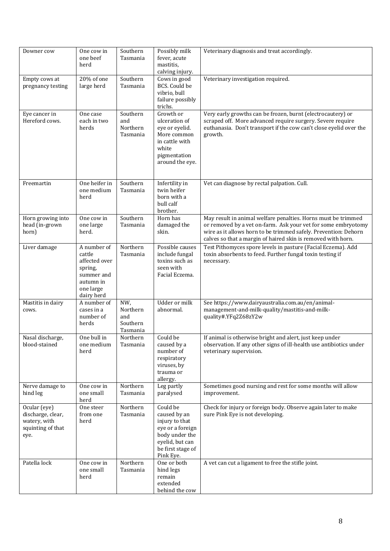| Downer cow                                                                     | One cow in<br>one beef<br>herd                                                                          | Southern<br>Tasmania                           | Possibly milk<br>fever, acute<br>mastitis,<br>calving injury.                                                                         | Veterinary diagnosis and treat accordingly.                                                                                                                                                                                                                       |
|--------------------------------------------------------------------------------|---------------------------------------------------------------------------------------------------------|------------------------------------------------|---------------------------------------------------------------------------------------------------------------------------------------|-------------------------------------------------------------------------------------------------------------------------------------------------------------------------------------------------------------------------------------------------------------------|
| Empty cows at<br>pregnancy testing                                             | 20% of one<br>large herd                                                                                | Southern<br>Tasmania                           | Cows in good<br>BCS. Could be<br>vibrio, bull<br>failure possibly<br>trichs.                                                          | Veterinary investigation required.                                                                                                                                                                                                                                |
| Eye cancer in<br>Hereford cows.                                                | One case<br>each in two<br>herds                                                                        | Southern<br>and<br>Northern<br>Tasmania        | Growth or<br>ulceration of<br>eye or eyelid.<br>More common<br>in cattle with<br>white<br>pigmentation<br>around the eye.             | Very early growths can be frozen, burnt (electrocautery) or<br>scraped off. More advanced require surgery. Severe require<br>euthanasia. Don't transport if the cow can't close eyelid over the<br>growth.                                                        |
| Freemartin                                                                     | One heifer in<br>one medium<br>herd                                                                     | Southern<br>Tasmania                           | Infertility in<br>twin heifer<br>born with a<br>bull calf<br>brother.                                                                 | Vet can diagnose by rectal palpation. Cull.                                                                                                                                                                                                                       |
| Horn growing into<br>head (in-grown<br>horn)                                   | One cow in<br>one large<br>herd.                                                                        | Southern<br>Tasmania                           | Horn has<br>damaged the<br>skin.                                                                                                      | May result in animal welfare penalties. Horns must be trimmed<br>or removed by a vet on-farm. Ask your vet for some embryotomy<br>wire as it allows horn to be trimmed safely. Prevention: Dehorn<br>calves so that a margin of haired skin is removed with horn. |
| Liver damage                                                                   | A number of<br>cattle<br>affected over<br>spring,<br>summer and<br>autumn in<br>one large<br>dairy herd | Northern<br>Tasmania                           | Possible causes<br>include fungal<br>toxins such as<br>seen with<br>Facial Eczema.                                                    | Test Pithomyces spore levels in pasture (Facial Eczema). Add<br>toxin absorbents to feed. Further fungal toxin testing if<br>necessary.                                                                                                                           |
| Mastitis in dairy<br>cows.                                                     | A number of<br>cases in a<br>number of<br>herds                                                         | NW,<br>Northern<br>and<br>Southern<br>Tasmania | <b>Udder</b> or milk<br>abnormal.                                                                                                     | See https://www.dairyaustralia.com.au/en/animal-<br>management-and-milk-quality/mastitis-and-milk-<br>quality#.YFq2Z68zY2w                                                                                                                                        |
| Nasal discharge,<br>blood-stained                                              | One bull in<br>one medium<br>herd                                                                       | Northern<br>Tasmania                           | Could be<br>caused by a<br>number of<br>respiratory<br>viruses, by<br>trauma or<br>allergy.                                           | If animal is otherwise bright and alert, just keep under<br>observation. If any other signs of ill-health use antibiotics under<br>veterinary supervision.                                                                                                        |
| Nerve damage to<br>hind leg                                                    | One cow in<br>one small<br>herd                                                                         | Northern<br>Tasmania                           | Leg partly<br>paralysed                                                                                                               | Sometimes good nursing and rest for some months will allow<br>improvement.                                                                                                                                                                                        |
| Ocular (eye)<br>discharge, clear,<br>watery, with<br>squinting of that<br>eye. | One steer<br>from one<br>herd                                                                           | Northern<br>Tasmania                           | Could be<br>caused by an<br>injury to that<br>eye or a foreign<br>body under the<br>eyelid, but can<br>be first stage of<br>Pink Eye. | Check for injury or foreign body. Observe again later to make<br>sure Pink Eye is not developing.                                                                                                                                                                 |
| Patella lock                                                                   | One cow in<br>one small<br>herd                                                                         | Northern<br>Tasmania                           | One or both<br>hind legs<br>remain<br>extended<br>behind the cow                                                                      | A vet can cut a ligament to free the stifle joint.                                                                                                                                                                                                                |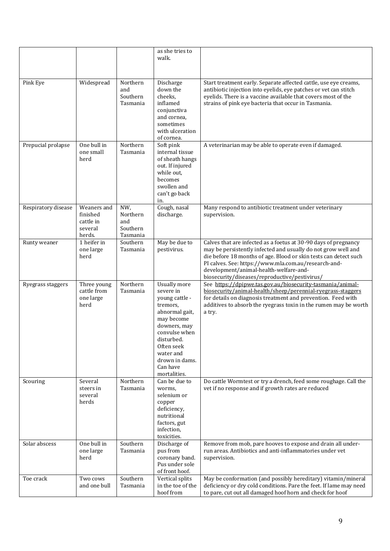|                     |                                                           |                                                | as she tries to<br>walk.                                                                                                                                                                                        |                                                                                                                                                                                                                                                                                                                                                         |
|---------------------|-----------------------------------------------------------|------------------------------------------------|-----------------------------------------------------------------------------------------------------------------------------------------------------------------------------------------------------------------|---------------------------------------------------------------------------------------------------------------------------------------------------------------------------------------------------------------------------------------------------------------------------------------------------------------------------------------------------------|
| Pink Eye            | Widespread                                                | Northern<br>and<br>Southern<br>Tasmania        | Discharge<br>down the<br>cheeks,<br>inflamed<br>conjunctiva<br>and cornea,<br>sometimes<br>with ulceration<br>of cornea.                                                                                        | Start treatment early. Separate affected cattle, use eye creams,<br>antibiotic injection into eyelids, eye patches or vet can stitch<br>eyelids. There is a vaccine available that covers most of the<br>strains of pink eye bacteria that occur in Tasmania.                                                                                           |
| Prepucial prolapse  | One bull in<br>one small<br>herd                          | Northern<br>Tasmania                           | Soft pink<br>internal tissue<br>of sheath hangs<br>out. If injured<br>while out,<br>becomes<br>swollen and<br>can't go back<br>in.                                                                              | A veterinarian may be able to operate even if damaged.                                                                                                                                                                                                                                                                                                  |
| Respiratory disease | Weaners and<br>finished<br>cattle in<br>several<br>herds. | NW,<br>Northern<br>and<br>Southern<br>Tasmania | Cough, nasal<br>discharge.                                                                                                                                                                                      | Many respond to antibiotic treatment under veterinary<br>supervision.                                                                                                                                                                                                                                                                                   |
| Runty weaner        | 1 heifer in<br>one large<br>herd                          | Southern<br>Tasmania                           | May be due to<br>pestivirus.                                                                                                                                                                                    | Calves that are infected as a foetus at 30-90 days of pregnancy<br>may be persistently infected and usually do not grow well and<br>die before 18 months of age. Blood or skin tests can detect such<br>PI calves. See: https://www.mla.com.au/research-and-<br>development/animal-health-welfare-and-<br>biosecurity/diseases/reproductive/pestivirus/ |
| Ryegrass staggers   | Three young<br>cattle from<br>one large<br>herd           | Northern<br>Tasmania                           | Usually more<br>severe in<br>young cattle -<br>tremors,<br>abnormal gait,<br>may become<br>downers, may<br>convulse when<br>disturbed.<br>Often seek<br>water and<br>drown in dams.<br>Can have<br>mortalities. | See https://dpipwe.tas.gov.au/biosecurity-tasmania/animal-<br>biosecurity/animal-health/sheep/perennial-ryegrass-staggers<br>for details on diagnosis treatment and prevention. Feed with<br>additives to absorb the ryegrass toxin in the rumen may be worth<br>a try.                                                                                 |
| Scouring            | Several<br>steers in<br>several<br>herds                  | Northern<br>Tasmania                           | Can be due to<br>worms,<br>selenium or<br>copper<br>deficiency,<br>nutritional<br>factors, gut<br>infection,<br>toxicities.                                                                                     | Do cattle Wormtest or try a drench, feed some roughage. Call the<br>vet if no response and if growth rates are reduced                                                                                                                                                                                                                                  |
| Solar abscess       | One bull in<br>one large<br>herd                          | Southern<br>Tasmania                           | Discharge of<br>pus from<br>coronary band.<br>Pus under sole<br>of front hoof.                                                                                                                                  | Remove from mob, pare hooves to expose and drain all under-<br>run areas. Antibiotics and anti-inflammatories under vet<br>supervision.                                                                                                                                                                                                                 |
| Toe crack           | Two cows<br>and one bull                                  | Southern<br>Tasmania                           | Vertical splits<br>in the toe of the<br>hoof from                                                                                                                                                               | May be conformation (and possibly hereditary) vitamin/mineral<br>deficiency or dry cold conditions. Pare the feet. If lame may need<br>to pare, cut out all damaged hoof horn and check for hoof                                                                                                                                                        |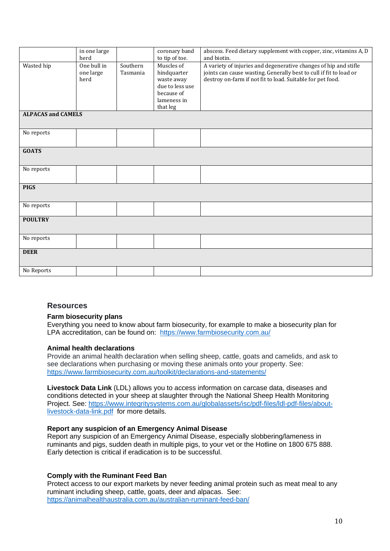|                           | in one large                     |                      | coronary band                                                                                       | abscess. Feed dietary supplement with copper, zinc, vitamins A, D                                                                                                                                    |
|---------------------------|----------------------------------|----------------------|-----------------------------------------------------------------------------------------------------|------------------------------------------------------------------------------------------------------------------------------------------------------------------------------------------------------|
|                           | herd                             |                      | to tip of toe.                                                                                      | and biotin.                                                                                                                                                                                          |
| Wasted hip                | One bull in<br>one large<br>herd | Southern<br>Tasmania | Muscles of<br>hindquarter<br>waste away<br>due to less use<br>because of<br>lameness in<br>that leg | A variety of injuries and degenerative changes of hip and stifle<br>joints can cause wasting. Generally best to cull if fit to load or<br>destroy on-farm if not fit to load. Suitable for pet food. |
| <b>ALPACAS and CAMELS</b> |                                  |                      |                                                                                                     |                                                                                                                                                                                                      |
|                           |                                  |                      |                                                                                                     |                                                                                                                                                                                                      |
| No reports                |                                  |                      |                                                                                                     |                                                                                                                                                                                                      |
|                           |                                  |                      |                                                                                                     |                                                                                                                                                                                                      |
| <b>GOATS</b>              |                                  |                      |                                                                                                     |                                                                                                                                                                                                      |
|                           |                                  |                      |                                                                                                     |                                                                                                                                                                                                      |
| No reports                |                                  |                      |                                                                                                     |                                                                                                                                                                                                      |
|                           |                                  |                      |                                                                                                     |                                                                                                                                                                                                      |
| <b>PIGS</b>               |                                  |                      |                                                                                                     |                                                                                                                                                                                                      |
|                           |                                  |                      |                                                                                                     |                                                                                                                                                                                                      |
| No reports                |                                  |                      |                                                                                                     |                                                                                                                                                                                                      |
| <b>POULTRY</b>            |                                  |                      |                                                                                                     |                                                                                                                                                                                                      |
|                           |                                  |                      |                                                                                                     |                                                                                                                                                                                                      |
| No reports                |                                  |                      |                                                                                                     |                                                                                                                                                                                                      |
|                           |                                  |                      |                                                                                                     |                                                                                                                                                                                                      |
| <b>DEER</b>               |                                  |                      |                                                                                                     |                                                                                                                                                                                                      |
|                           |                                  |                      |                                                                                                     |                                                                                                                                                                                                      |
| No Reports                |                                  |                      |                                                                                                     |                                                                                                                                                                                                      |

# **Resources**

#### **Farm biosecurity plans**

Everything you need to know about farm biosecurity, for example to make a biosecurity plan for LPA accreditation, can be found on: <https://www.farmbiosecurity.com.au/>

#### **Animal health declarations**

Provide an animal health declaration when selling sheep, cattle, goats and camelids, and ask to see declarations when purchasing or moving these animals onto your property. See: <https://www.farmbiosecurity.com.au/toolkit/declarations-and-statements/>

**Livestock Data Link** (LDL) allows you to access information on carcase data, diseases and conditions detected in your sheep at slaughter through the National Sheep Health Monitoring Project. See: [https://www.integritysystems.com.au/globalassets/isc/pdf-files/ldl-pdf-files/about](https://www.integritysystems.com.au/globalassets/isc/pdf-files/ldl-pdf-files/about-livestock-data-link.pdf)[livestock-data-link.pdf](https://www.integritysystems.com.au/globalassets/isc/pdf-files/ldl-pdf-files/about-livestock-data-link.pdf) for more details.

#### **Report any suspicion of an Emergency Animal Disease**

Report any suspicion of an Emergency Animal Disease, especially slobbering/lameness in ruminants and pigs, sudden death in multiple pigs, to your vet or the Hotline on 1800 675 888. Early detection is critical if eradication is to be successful.

#### **Comply with the Ruminant Feed Ban**

Protect access to our export markets by never feeding animal protein such as meat meal to any ruminant including sheep, cattle, goats, deer and alpacas. See: <https://animalhealthaustralia.com.au/australian-ruminant-feed-ban/>